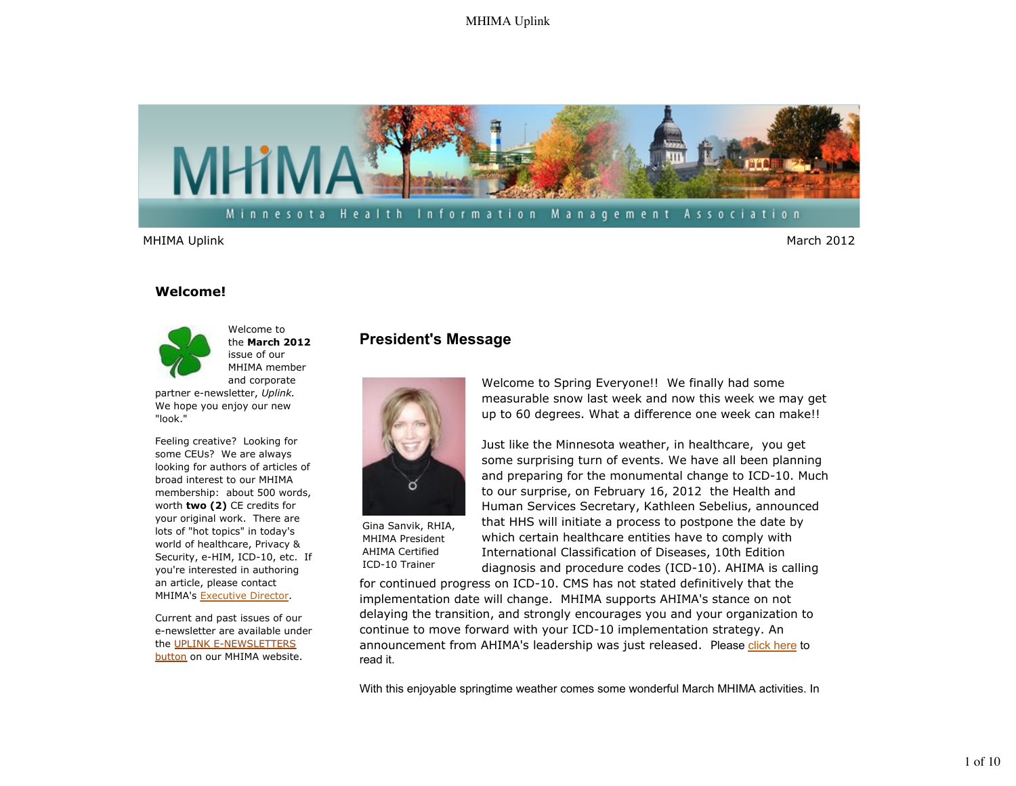

### **Welcome!**



Welcome to the **March 2012** issue of our MHIMA member and corporate

partner e-newsletter, *Uplink.*  We hope you enjoy our new "look."

Feeling creative? Looking for some CEUs? We are always looking for authors of articles of broad interest to our MHIMA membership: about 500 words, worth **two (2)** CE credits for your original work. There are lots of "hot topics" in today's world of healthcare, Privacy & Security, e-HIM, ICD-10, etc. If you're interested in authoring an article, please contact MHIMA's Executive Director.

Current and past issues of our e-newsletter are available under the UPLINK E-NEWSLETTERS button on our MHIMA website.

# **President's Message**



Gina Sanvik, RHIA, MHIMA President AHIMA Certified ICD-10 Trainer

Welcome to Spring Everyone!! We finally had some measurable snow last week and now this week we may get up to 60 degrees. What a difference one week can make!!

Just like the Minnesota weather, in healthcare, you get some surprising turn of events. We have all been planning and preparing for the monumental change to ICD-10. Much to our surprise, on February 16, 2012 the Health and Human Services Secretary, Kathleen Sebelius, announced that HHS will initiate a process to postpone the date by which certain healthcare entities have to comply with International Classification of Diseases, 10th Edition diagnosis and procedure codes (ICD-10). AHIMA is calling

for continued progress on ICD-10. CMS has not stated definitively that the implementation date will change. MHIMA supports AHIMA's stance on not delaying the transition, and strongly encourages you and your organization to continue to move forward with your ICD-10 implementation strategy. An announcement from AHIMA's leadership was just released. Please click here to read it.

With this enjoyable springtime weather comes some wonderful March MHIMA activities. In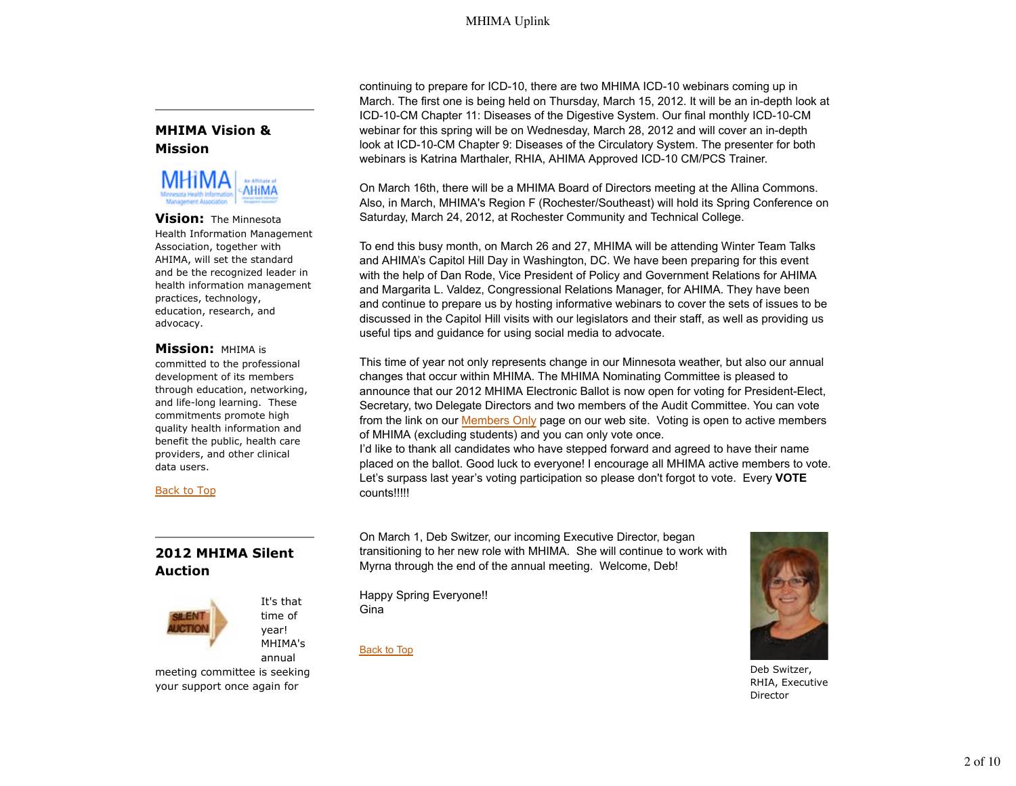# **MHIMA Vision & Mission**



#### **Vision:** The Minnesota Health Information Management Association, together with AHIMA, will set the standard and be the recognized leader in health information management practices, technology, education, research, and advocacy.

## **Mission:** MHIMA is

committed to the professional development of its members through education, networking, and life-long learning. These commitments promote high quality health information and benefit the public, health care providers, and other clinical data users.

## Back to Top

# **2012 MHIMA Silent Auction**



It's that time of year! MHIMA's annual

meeting committee is seeking your support once again for

continuing to prepare for ICD-10, there are two MHIMA ICD-10 webinars coming up in March. The first one is being held on Thursday, March 15, 2012. It will be an in-depth look at ICD-10-CM Chapter 11: Diseases of the Digestive System. Our final monthly ICD-10-CM webinar for this spring will be on Wednesday, March 28, 2012 and will cover an in-depth look at ICD-10-CM Chapter 9: Diseases of the Circulatory System. The presenter for both webinars is Katrina Marthaler, RHIA, AHIMA Approved ICD-10 CM/PCS Trainer.

On March 16th, there will be a MHIMA Board of Directors meeting at the Allina Commons. Also, in March, MHIMA's Region F (Rochester/Southeast) will hold its Spring Conference on Saturday, March 24, 2012, at Rochester Community and Technical College.

To end this busy month, on March 26 and 27, MHIMA will be attending Winter Team Talks and AHIMA's Capitol Hill Day in Washington, DC. We have been preparing for this event with the help of Dan Rode, Vice President of Policy and Government Relations for AHIMA and Margarita L. Valdez, Congressional Relations Manager, for AHIMA. They have been and continue to prepare us by hosting informative webinars to cover the sets of issues to be discussed in the Capitol Hill visits with our legislators and their staff, as well as providing us useful tips and guidance for using social media to advocate.

This time of year not only represents change in our Minnesota weather, but also our annual changes that occur within MHIMA. The MHIMA Nominating Committee is pleased to announce that our 2012 MHIMA Electronic Ballot is now open for voting for President-Elect, Secretary, two Delegate Directors and two members of the Audit Committee. You can vote from the link on our Members Only page on our web site. Voting is open to active members of MHIMA (excluding students) and you can only vote once.

I'd like to thank all candidates who have stepped forward and agreed to have their name placed on the ballot. Good luck to everyone! I encourage all MHIMA active members to vote. Let's surpass last year's voting participation so please don't forgot to vote. Every **VOTE** counts!!!!!

On March 1, Deb Switzer, our incoming Executive Director, began transitioning to her new role with MHIMA. She will continue to work with Myrna through the end of the annual meeting. Welcome, Deb!

Happy Spring Everyone!! Gina

Back to Top



Deb Switzer, RHIA, Executive Director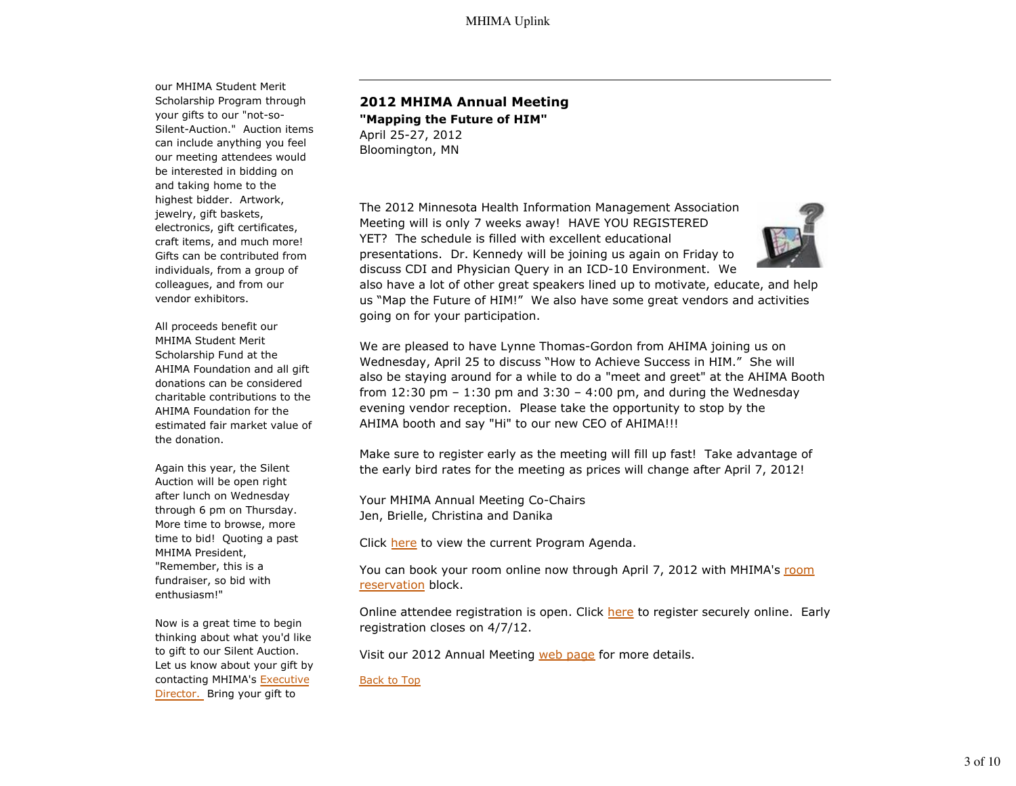our MHIMA Student Merit Scholarship Program through your gifts to our "not-so-Silent-Auction." Auction items can include anything you feel our meeting attendees would be interested in bidding on and taking home to the highest bidder. Artwork, jewelry, gift baskets, electronics, gift certificates, craft items, and much more! Gifts can be contributed from individuals, from a group of colleagues, and from our vendor exhibitors.

All proceeds benefit our MHIMA Student Merit Scholarship Fund at the AHIMA Foundation and all gift donations can be considered charitable contributions to the AHIMA Foundation for the estimated fair market value of the donation.

Again this year, the Silent Auction will be open right after lunch on Wednesday through 6 pm on Thursday. More time to browse, more time to bid! Quoting a past MHIMA President, "Remember, this is a fundraiser, so bid with enthusiasm!"

Now is a great time to begin thinking about what you'd like to gift to our Silent Auction. Let us know about your gift by contacting MHIMA's Executive Director. Bring your gift to

# **2012 MHIMA Annual Meeting "Mapping the Future of HIM"** April 25-27, 2012

Bloomington, MN

The 2012 Minnesota Health Information Management Association Meeting will is only 7 weeks away! HAVE YOU REGISTERED YET? The schedule is filled with excellent educational presentations. Dr. Kennedy will be joining us again on Friday to discuss CDI and Physician Query in an ICD-10 Environment. We



also have a lot of other great speakers lined up to motivate, educate, and help us "Map the Future of HIM!" We also have some great vendors and activities going on for your participation.

We are pleased to have Lynne Thomas-Gordon from AHIMA joining us on Wednesday, April 25 to discuss "How to Achieve Success in HIM." She will also be staying around for a while to do a "meet and greet" at the AHIMA Booth from 12:30 pm  $-$  1:30 pm and 3:30  $-$  4:00 pm, and during the Wednesday evening vendor reception. Please take the opportunity to stop by the AHIMA booth and say "Hi" to our new CEO of AHIMA!!!

Make sure to register early as the meeting will fill up fast! Take advantage of the early bird rates for the meeting as prices will change after April 7, 2012!

Your MHIMA Annual Meeting Co-Chairs Jen, Brielle, Christina and Danika

Click here to view the current Program Agenda.

You can book your room online now through April 7, 2012 with MHIMA's room reservation block.

Online attendee registration is open. Click here to register securely online. Early registration closes on 4/7/12.

Visit our 2012 Annual Meeting web page for more details.

Back to Top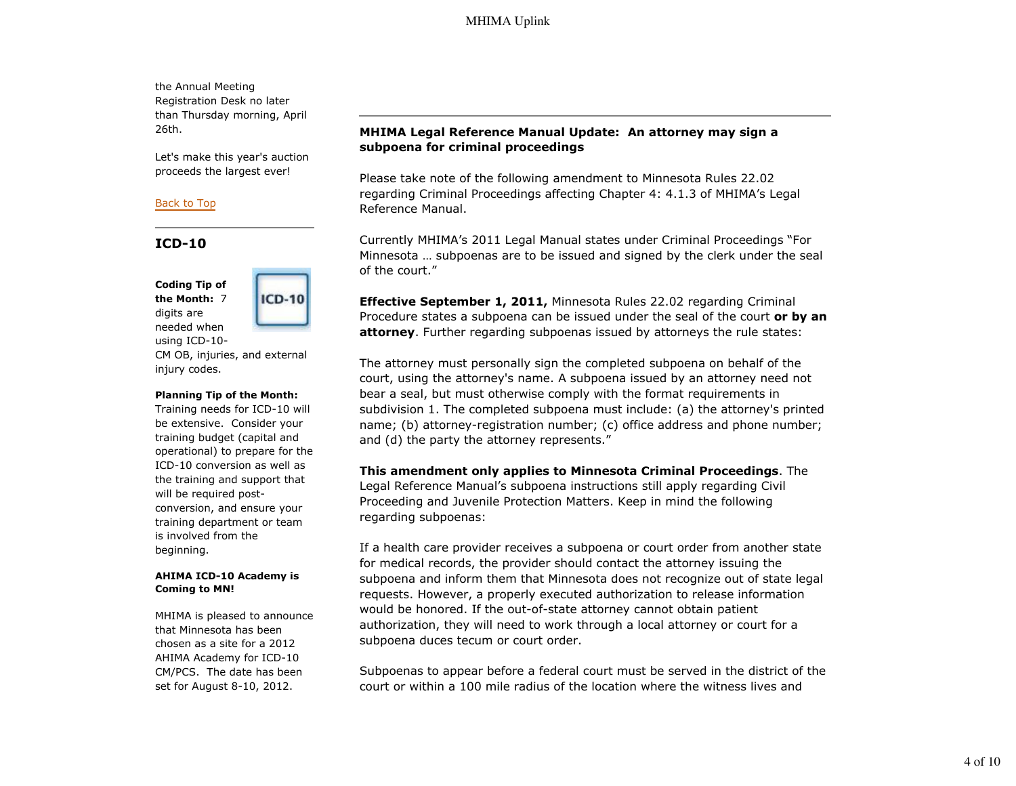the Annual Meeting Registration Desk no later than Thursday morning, April 26th.

Let's make this year's auction proceeds the largest ever!

### Back to Top

# **ICD-10**

**Coding Tip of the Month:** 7 digits are needed when using ICD-10-



CM OB, injuries, and external injury codes.

#### **Planning Tip of the Month:**

Training needs for ICD-10 will be extensive. Consider your training budget (capital and operational) to prepare for the ICD-10 conversion as well as the training and support that will be required postconversion, and ensure your training department or team is involved from the beginning.

#### **AHIMA ICD-10 Academy is Coming to MN!**

MHIMA is pleased to announce that Minnesota has been chosen as a site for a 2012 AHIMA Academy for ICD-10 CM/PCS. The date has been set for August 8-10, 2012.

# **MHIMA Legal Reference Manual Update: An attorney may sign a subpoena for criminal proceedings**

Please take note of the following amendment to Minnesota Rules 22.02 regarding Criminal Proceedings affecting Chapter 4: 4.1.3 of MHIMA's Legal Reference Manual.

Currently MHIMA's 2011 Legal Manual states under Criminal Proceedings "For Minnesota … subpoenas are to be issued and signed by the clerk under the seal of the court."

**Effective September 1, 2011,** Minnesota Rules 22.02 regarding Criminal Procedure states a subpoena can be issued under the seal of the court **or by an attorney**. Further regarding subpoenas issued by attorneys the rule states:

The attorney must personally sign the completed subpoena on behalf of the court, using the attorney's name. A subpoena issued by an attorney need not bear a seal, but must otherwise comply with the format requirements in subdivision 1. The completed subpoena must include: (a) the attorney's printed name; (b) attorney-registration number; (c) office address and phone number; and (d) the party the attorney represents."

**This amendment only applies to Minnesota Criminal Proceedings**. The Legal Reference Manual's subpoena instructions still apply regarding Civil Proceeding and Juvenile Protection Matters. Keep in mind the following regarding subpoenas:

If a health care provider receives a subpoena or court order from another state for medical records, the provider should contact the attorney issuing the subpoena and inform them that Minnesota does not recognize out of state legal requests. However, a properly executed authorization to release information would be honored. If the out-of-state attorney cannot obtain patient authorization, they will need to work through a local attorney or court for a subpoena duces tecum or court order.

Subpoenas to appear before a federal court must be served in the district of the court or within a 100 mile radius of the location where the witness lives and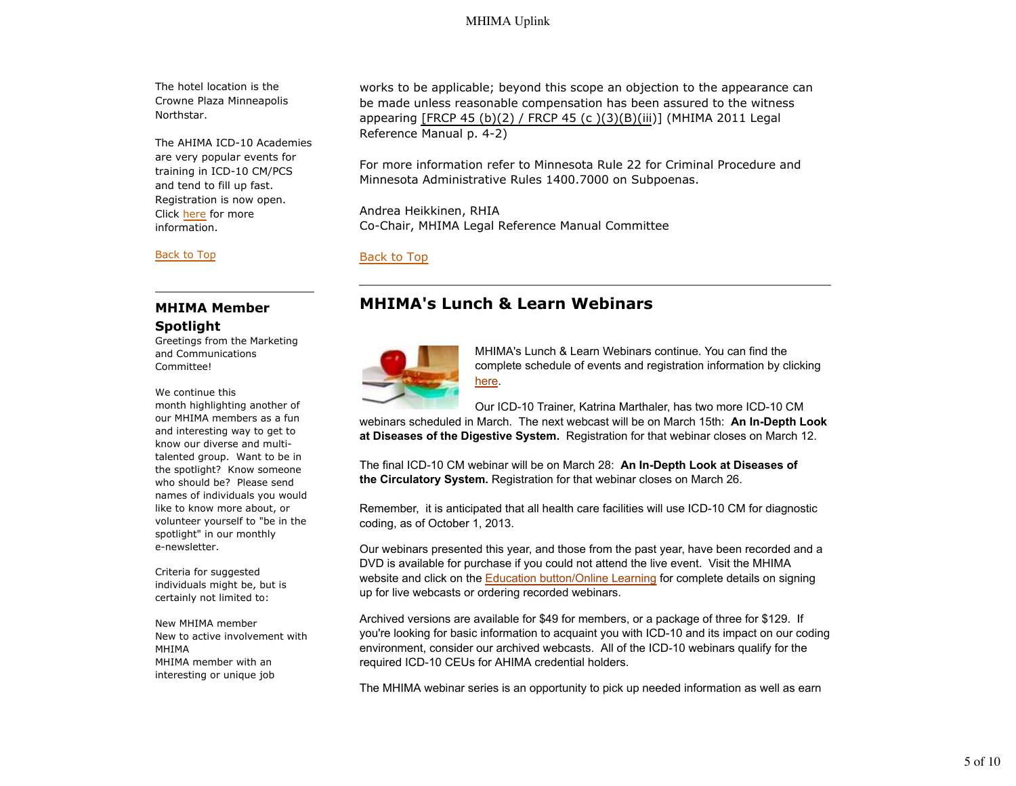The hotel location is the Crowne Plaza Minneapolis Northstar.

The AHIMA ICD-10 Academies are very popular events for training in ICD-10 CM/PCS and tend to fill up fast. Registration is now open. Click here for more information.

#### Back to Top

# **MHIMA Member Spotlight**

Greetings from the Marketing and Communications Committee!

We continue this

month highlighting another of our MHIMA members as a fun and interesting way to get to know our diverse and multitalented group. Want to be in the spotlight? Know someone who should be? Please send names of individuals you would like to know more about, or volunteer yourself to "be in the spotlight" in our monthly e-newsletter.

Criteria for suggested individuals might be, but is certainly not limited to:

New MHIMA member New to active involvement with MHIMA MHIMA member with an interesting or unique job

works to be applicable; beyond this scope an objection to the appearance can be made unless reasonable compensation has been assured to the witness appearing [FRCP 45 (b)(2) / FRCP 45 (c )(3)(B)(iii)] (MHIMA 2011 Legal Reference Manual p. 4-2)

For more information refer to Minnesota Rule 22 for Criminal Procedure and Minnesota Administrative Rules 1400.7000 on Subpoenas.

Andrea Heikkinen, RHIA Co-Chair, MHIMA Legal Reference Manual Committee

## Back to Top

# **MHIMA's Lunch & Learn Webinars**



MHIMA's Lunch & Learn Webinars continue. You can find the complete schedule of events and registration information by clicking here.

Our ICD-10 Trainer, Katrina Marthaler, has two more ICD-10 CM

webinars scheduled in March. The next webcast will be on March 15th: **An In-Depth Look at Diseases of the Digestive System.** Registration for that webinar closes on March 12.

The final ICD-10 CM webinar will be on March 28: **An In-Depth Look at Diseases of the Circulatory System.** Registration for that webinar closes on March 26.

Remember, it is anticipated that all health care facilities will use ICD-10 CM for diagnostic coding, as of October 1, 2013.

Our webinars presented this year, and those from the past year, have been recorded and a DVD is available for purchase if you could not attend the live event. Visit the MHIMA website and click on the Education button/Online Learning for complete details on signing up for live webcasts or ordering recorded webinars.

Archived versions are available for \$49 for members, or a package of three for \$129. If you're looking for basic information to acquaint you with ICD-10 and its impact on our coding environment, consider our archived webcasts. All of the ICD-10 webinars qualify for the required ICD-10 CEUs for AHIMA credential holders.

The MHIMA webinar series is an opportunity to pick up needed information as well as earn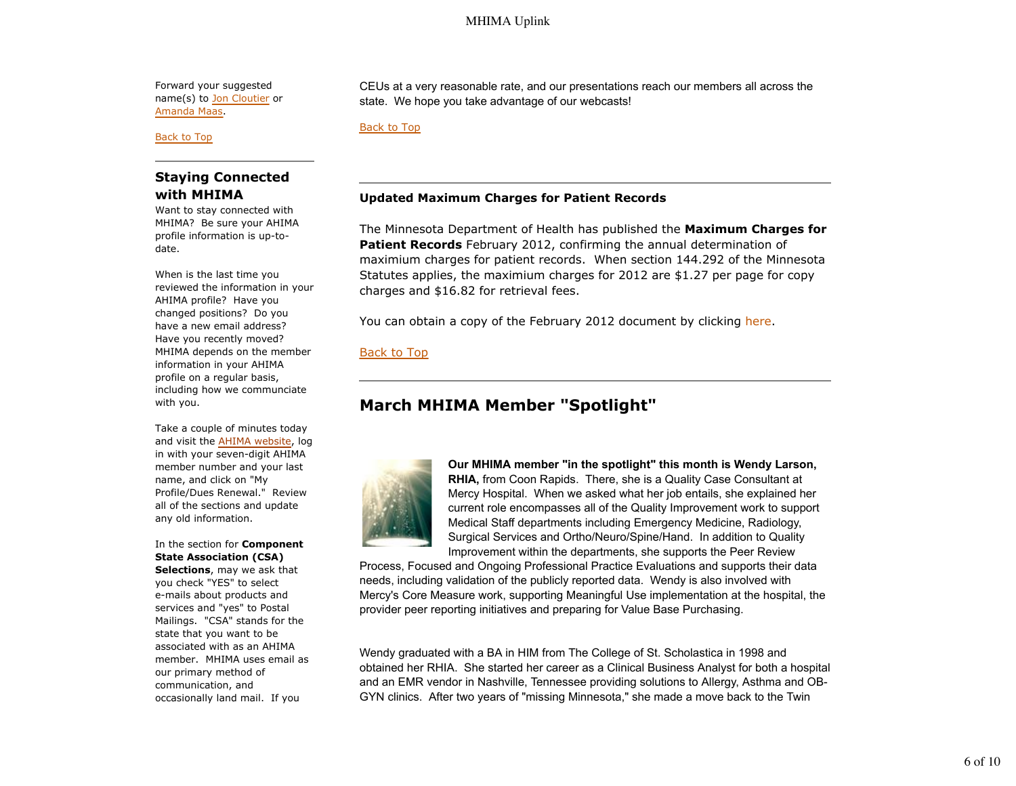Forward your suggested name(s) to Jon Cloutier or Amanda Maas.

Back to Top

# **Staying Connected with MHIMA**

Want to stay connected with MHIMA? Be sure your AHIMA profile information is up-todate.

When is the last time you reviewed the information in your AHIMA profile? Have you changed positions? Do you have a new email address? Have you recently moved? MHIMA depends on the member information in your AHIMA profile on a regular basis, including how we communciate with you.

Take a couple of minutes today and visit the AHIMA website, log in with your seven-digit AHIMA member number and your last name, and click on "My Profile/Dues Renewal." Review all of the sections and update any old information.

In the section for **Component State Association (CSA)**

**Selections**, may we ask that you check "YES" to select e-mails about products and services and "yes" to Postal Mailings. "CSA" stands for the state that you want to be associated with as an AHIMA member. MHIMA uses email as our primary method of communication, and occasionally land mail. If you

CEUs at a very reasonable rate, and our presentations reach our members all across the state. We hope you take advantage of our webcasts!

Back to Top

## **Updated Maximum Charges for Patient Records**

The Minnesota Department of Health has published the **Maximum Charges for Patient Records** February 2012, confirming the annual determination of maximium charges for patient records. When section 144.292 of the Minnesota Statutes applies, the maximium charges for 2012 are \$1.27 per page for copy charges and \$16.82 for retrieval fees.

You can obtain a copy of the February 2012 document by clicking here.

## Back to Top

# **March MHIMA Member "Spotlight"**



**Our MHIMA member "in the spotlight" this month is Wendy Larson, RHIA,** from Coon Rapids. There, she is a Quality Case Consultant at Mercy Hospital. When we asked what her job entails, she explained her current role encompasses all of the Quality Improvement work to support Medical Staff departments including Emergency Medicine, Radiology, Surgical Services and Ortho/Neuro/Spine/Hand. In addition to Quality Improvement within the departments, she supports the Peer Review

Process, Focused and Ongoing Professional Practice Evaluations and supports their data needs, including validation of the publicly reported data. Wendy is also involved with Mercy's Core Measure work, supporting Meaningful Use implementation at the hospital, the provider peer reporting initiatives and preparing for Value Base Purchasing.

Wendy graduated with a BA in HIM from The College of St. Scholastica in 1998 and obtained her RHIA. She started her career as a Clinical Business Analyst for both a hospital and an EMR vendor in Nashville, Tennessee providing solutions to Allergy, Asthma and OB-GYN clinics. After two years of "missing Minnesota," she made a move back to the Twin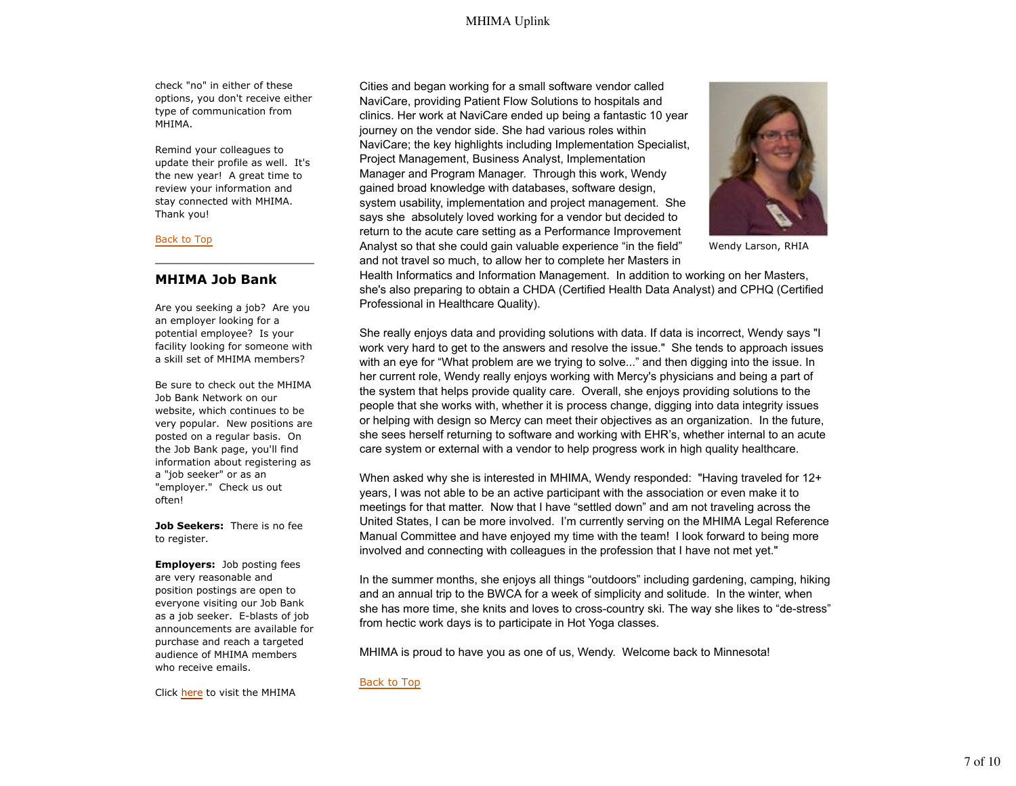check "no" in either of these options, you don't receive either type of communication from MHIMA.

Remind your colleagues to update their profile as well. It's the new year! A great time to review your information and stay connected with MHIMA. Thank you!

#### Back to Top

## **MHIMA Job Bank**

Are you seeking a job? Are you an employer looking for a potential employee? Is your facility looking for someone with a skill set of MHIMA members?

Be sure to check out the MHIMA Job Bank Network on our website, which continues to be very popular. New positions are posted on a regular basis. On the Job Bank page, you'll find information about registering as a "job seeker" or as an "employer." Check us out often!

**Job Seekers:** There is no fee to register.

**Employers:** Job posting fees are very reasonable and position postings are open to everyone visiting our Job Bank as a job seeker. E-blasts of job announcements are available for purchase and reach a targeted audience of MHIMA members who receive emails.

Cities and began working for a small software vendor called NaviCare, providing Patient Flow Solutions to hospitals and clinics. Her work at NaviCare ended up being a fantastic 10 year journey on the vendor side. She had various roles within NaviCare; the key highlights including Implementation Specialist, Project Management, Business Analyst, Implementation Manager and Program Manager. Through this work, Wendy gained broad knowledge with databases, software design, system usability, implementation and project management. She says she absolutely loved working for a vendor but decided to return to the acute care setting as a Performance Improvement Analyst so that she could gain valuable experience "in the field" and not travel so much, to allow her to complete her Masters in



Wendy Larson, RHIA

Health Informatics and Information Management. In addition to working on her Masters, she's also preparing to obtain a CHDA (Certified Health Data Analyst) and CPHQ (Certified Professional in Healthcare Quality).

She really enjoys data and providing solutions with data. If data is incorrect, Wendy says "I work very hard to get to the answers and resolve the issue." She tends to approach issues with an eye for "What problem are we trying to solve..." and then digging into the issue. In her current role, Wendy really enjoys working with Mercy's physicians and being a part of the system that helps provide quality care. Overall, she enjoys providing solutions to the people that she works with, whether it is process change, digging into data integrity issues or helping with design so Mercy can meet their objectives as an organization. In the future, she sees herself returning to software and working with EHR's, whether internal to an acute care system or external with a vendor to help progress work in high quality healthcare.

When asked why she is interested in MHIMA, Wendy responded: "Having traveled for 12+ years, I was not able to be an active participant with the association or even make it to meetings for that matter. Now that I have "settled down" and am not traveling across the United States, I can be more involved. I'm currently serving on the MHIMA Legal Reference Manual Committee and have enjoyed my time with the team! I look forward to being more involved and connecting with colleagues in the profession that I have not met yet."

In the summer months, she enjoys all things "outdoors" including gardening, camping, hiking and an annual trip to the BWCA for a week of simplicity and solitude. In the winter, when she has more time, she knits and loves to cross-country ski. The way she likes to "de-stress" from hectic work days is to participate in Hot Yoga classes.

MHIMA is proud to have you as one of us, Wendy. Welcome back to Minnesota!

Back to Top

Click here to visit the MHIMA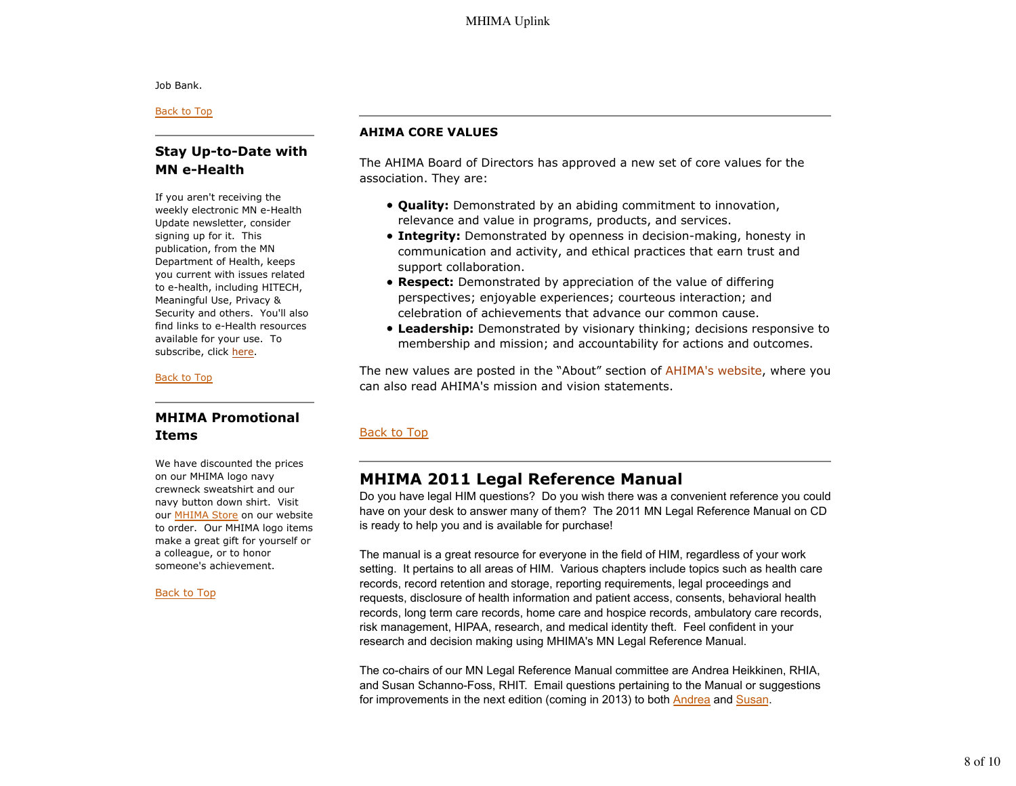Job Bank.

Back to Top

# **Stay Up-to-Date with MN e-Health**

If you aren't receiving the weekly electronic MN e-Health Update newsletter, consider signing up for it. This publication, from the MN Department of Health, keeps you current with issues related to e-health, including HITECH, Meaningful Use, Privacy & Security and others. You'll also find links to e-Health resources available for your use. To subscribe, click here.

#### Back to Top

# **MHIMA Promotional Items**

We have discounted the prices on our MHIMA logo navy crewneck sweatshirt and our navy button down shirt. Visit our MHIMA Store on our website to order. Our MHIMA logo items make a great gift for yourself or a colleague, or to honor someone's achievement.

#### Back to Top

### **AHIMA CORE VALUES**

The AHIMA Board of Directors has approved a new set of core values for the association. They are:

- **Quality:** Demonstrated by an abiding commitment to innovation, relevance and value in programs, products, and services.
- **Integrity:** Demonstrated by openness in decision-making, honesty in communication and activity, and ethical practices that earn trust and support collaboration.
- **Respect:** Demonstrated by appreciation of the value of differing perspectives; enjoyable experiences; courteous interaction; and celebration of achievements that advance our common cause.
- **Leadership:** Demonstrated by visionary thinking; decisions responsive to membership and mission; and accountability for actions and outcomes.

The new values are posted in the "About" section of AHIMA's website, where you can also read AHIMA's mission and vision statements.

# Back to Top

# **MHIMA 2011 Legal Reference Manual**

Do you have legal HIM questions? Do you wish there was a convenient reference you could have on your desk to answer many of them? The 2011 MN Legal Reference Manual on CD is ready to help you and is available for purchase!

The manual is a great resource for everyone in the field of HIM, regardless of your work setting. It pertains to all areas of HIM. Various chapters include topics such as health care records, record retention and storage, reporting requirements, legal proceedings and requests, disclosure of health information and patient access, consents, behavioral health records, long term care records, home care and hospice records, ambulatory care records, risk management, HIPAA, research, and medical identity theft. Feel confident in your research and decision making using MHIMA's MN Legal Reference Manual.

The co-chairs of our MN Legal Reference Manual committee are Andrea Heikkinen, RHIA, and Susan Schanno-Foss, RHIT. Email questions pertaining to the Manual or suggestions for improvements in the next edition (coming in 2013) to both **Andrea** and Susan.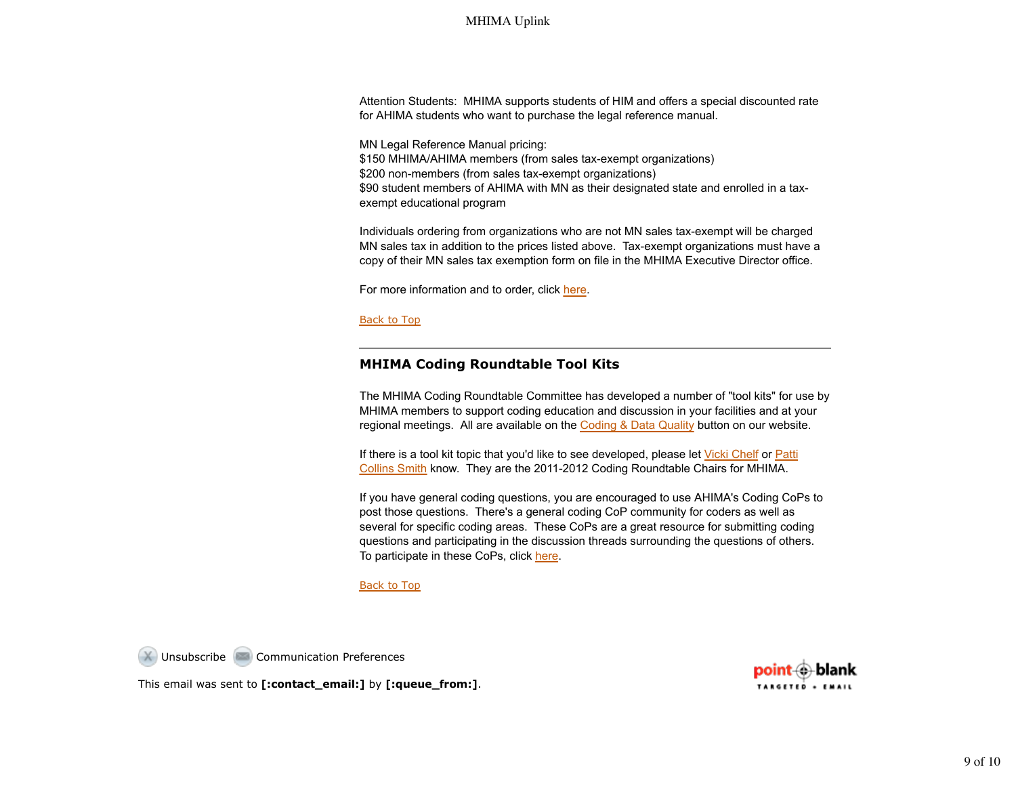Attention Students: MHIMA supports students of HIM and offers a special discounted rate for AHIMA students who want to purchase the legal reference manual.

MN Legal Reference Manual pricing: \$150 MHIMA/AHIMA members (from sales tax-exempt organizations) \$200 non-members (from sales tax-exempt organizations) \$90 student members of AHIMA with MN as their designated state and enrolled in a taxexempt educational program

Individuals ordering from organizations who are not MN sales tax-exempt will be charged MN sales tax in addition to the prices listed above. Tax-exempt organizations must have a copy of their MN sales tax exemption form on file in the MHIMA Executive Director office.

For more information and to order, click here.

Back to Top

# **MHIMA Coding Roundtable Tool Kits**

The MHIMA Coding Roundtable Committee has developed a number of "tool kits" for use by MHIMA members to support coding education and discussion in your facilities and at your regional meetings. All are available on the Coding & Data Quality button on our website.

If there is a tool kit topic that you'd like to see developed, please let Vicki Chelf or Patti Collins Smith know. They are the 2011-2012 Coding Roundtable Chairs for MHIMA.

If you have general coding questions, you are encouraged to use AHIMA's Coding CoPs to post those questions. There's a general coding CoP community for coders as well as several for specific coding areas. These CoPs are a great resource for submitting coding questions and participating in the discussion threads surrounding the questions of others. To participate in these CoPs, click here.

#### Back to Top

Unsubscribe **Communication Preferences** 

This email was sent to **[:contact\_email:]** by **[:queue\_from:]**.